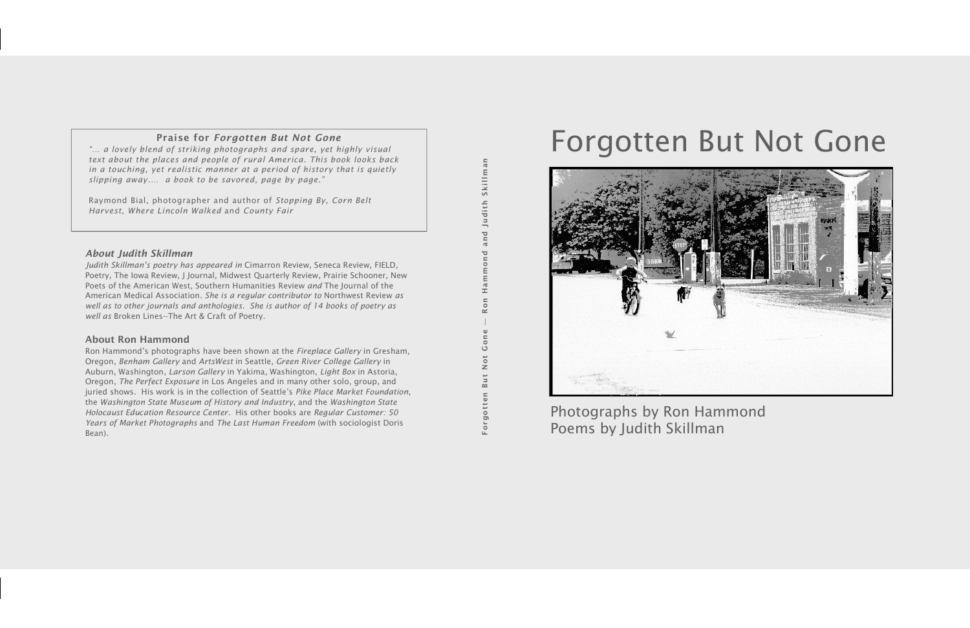# Forgotten But Not Gone



Photographs by Ron Hammond Poems by Judith Skillman

## Praise for *Forgotten But Not Gone*

*- a lovely blend of striking photographs and spare, yet highly visual text about the places and people of rural America. This book looks back in a touching, yet realistic manner at a period of history that is quietly slipping away.- a book to be savored, page by page.*

Raymond Bial, photographer and author of *Stopping By, Corn Belt Harvest, Where Lincoln Walked* and *County Fair* 

#### *About Judith Skillman*

*Judith Skillmans poetry has appeared in* Cimarron Review*,* Seneca Review*,* FIELD*,*  Poetry*,* The Iowa Review*,* J Journal*,* Midwest Quarterly Review*,* Prairie Schooner*,* New Poets of the American West*,* Southern Humanities Review *and* The Journal of the American Medical Association*. She is a regular contributor to* Northwest Review *as well as to other journals and anthologies. She is author of 14 books of poetry as well as* Broken Lines--The Art & Craft of Poetry.

Ron Hammond's photographs have been shown at the *Fireplace Gallery* in Gresham, Oregon, *Benham Gallery* and *ArtsWest* in Seattle, *Green River College Gallery* in Auburn, Washington, *Larson Gallery* in Yakima, Washington, *Light Box* in Astoria, Oregon, *The Perfect Exposure* in Los Angeles and in many other solo, group, and juried shows. His work is in the collection of Seattle's Pike Place Market Foundation, the *Washington State Museum of History and Industry*, and the *Washington State Holocaust Education Resource Center*. His other books are *Regular Customer: 50 Years of Market Photographs* and *The Last Human Freedom* (with sociologist Doris Bean).

Skillman Ron Hammond and Judith SkillmanJudith and  $\overline{\mathbf{C}}$ mmon  $\mathbb{H}$  $\overline{0}$  $\tilde{\mathbf{r}}$ Forgotten But Not Gone  $n e$  $\rm ^{\circ}$  $\overline{\mathbf{0}}$  $\mathbb{Z}$ But  $\equiv$ gott

#### About Ron Hammond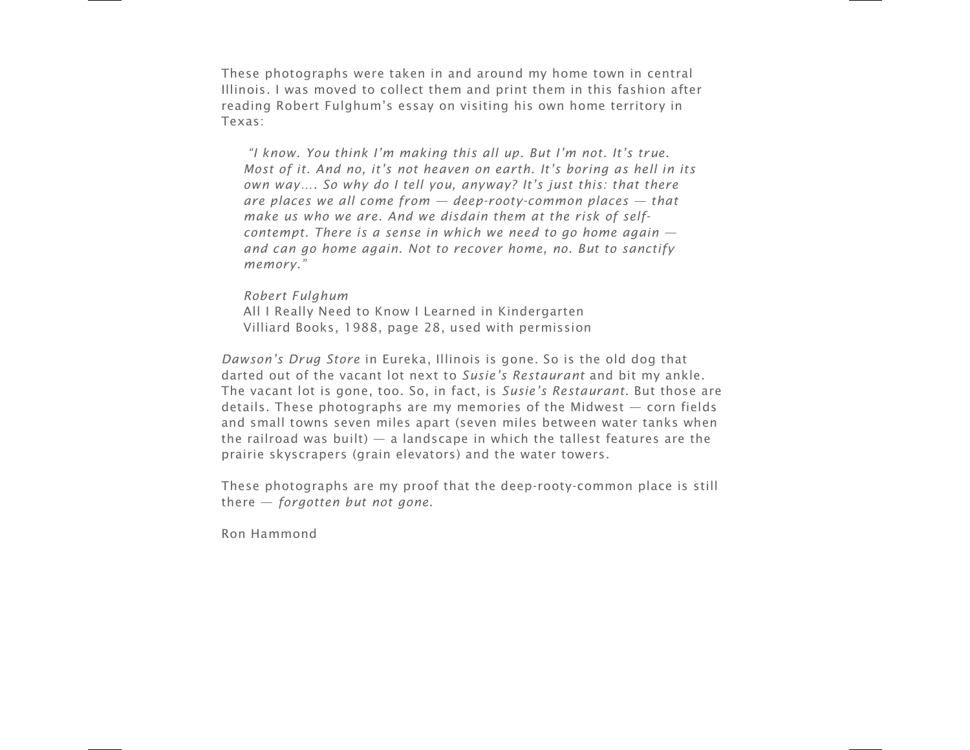These photographs were taken in and around my home town in central Illinois. I was moved to collect them and print them in this fashion after reading Robert Fulghum's essay on visiting his own home territory in Texas:

*I know. You think I-m making this all up. But I-m not. It-s true. Most of it. And no, it's not heaven on earth. It's boring as hell in its own way. So why do I tell you, anyway? It-s just this: that there are places we all come from deep-rooty-common places that make us who we are. And we disdain them at the risk of selfcontempt. There is a sense in which we need to go home again and can go home again. Not to recover home, no. But to sanctify memory.*

*Robert Fulghum* All I Really Need to Know I Learned in Kindergarten Villiard Books, 1988, page 28, used with permission

*Dawson-s Drug Store* in Eureka, Illinois is gone. So is the old dog that darted out of the vacant lot next to *Susie-s Restaurant* and bit my ankle. The vacant lot is gone, too. So, in fact, is *Susie-s Restaurant*. But those are details. These photographs are my memories of the Midwest — corn fields and small towns seven miles apart (seven miles between water tanks when the railroad was built)  $-$  a landscape in which the tallest features are the prairie skyscrapers (grain elevators) and the water towers.

These photographs are my proof that the deep-rooty-common place is still there - *forgotten but not gone*.

Ron Hammond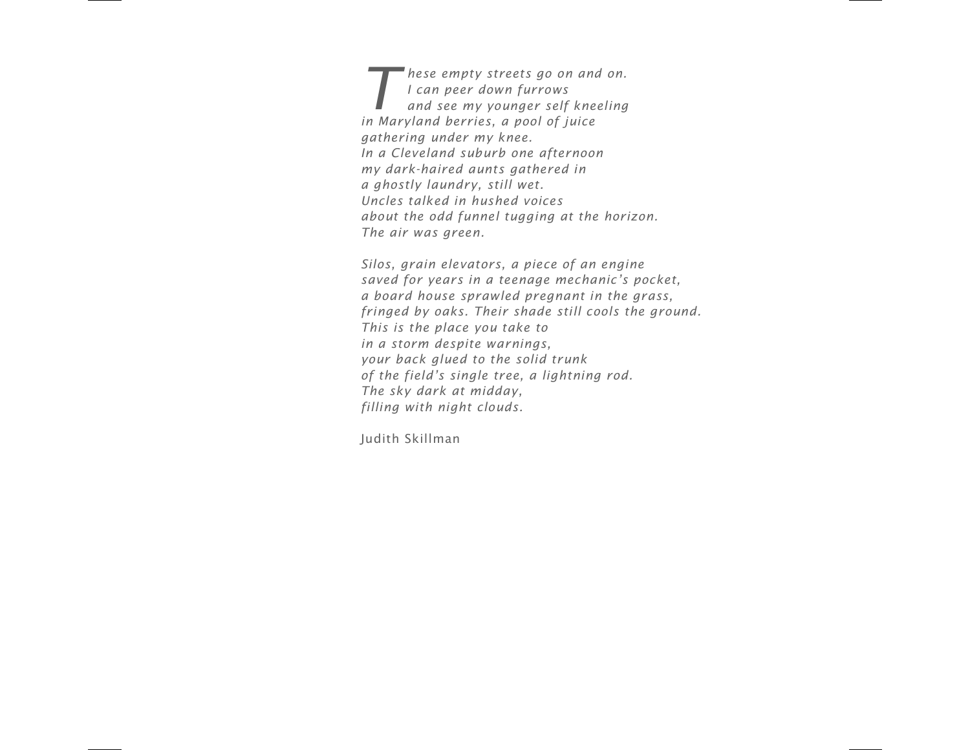**T** *These empty streets go on and on.*<br> *and see my younger self kneeling***<br>
<b>***and see my younger self kneeling I can peer down furrows in Maryland berries, a pool of juice gathering under my knee. In a Cleveland suburb one afternoon my dark-haired aunts gathered in a ghostly laundry, still wet. Uncles talked in hushed voices about the odd funnel tugging at the horizon. The air was green.*

*Silos, grain elevators, a piece of an engine* saved for years in a teenage mechanic's pocket, *a board house sprawled pregnant in the grass, fringed by oaks. Their shade still cools the ground. This is the place you take to in a storm despite warnings, your back glued to the solid trunk of the field-s single tree, a lightning rod. The sky dark at midday, filling with night clouds.*

Judith Skillman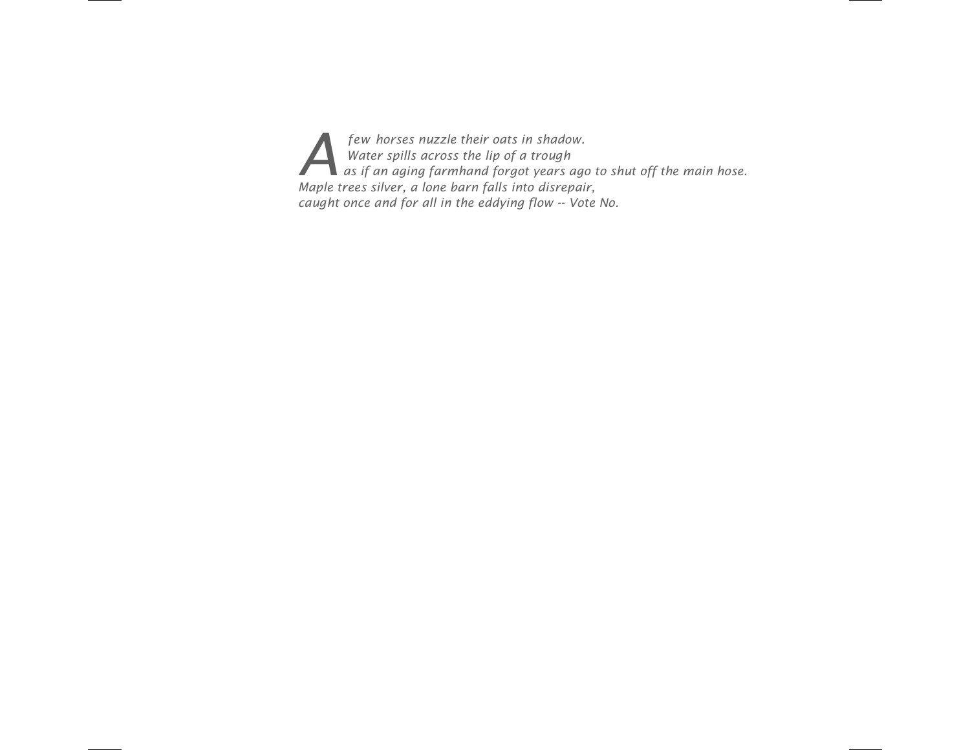*A A Afew horses nuzzle their oats in shadow.*<br>*A <i>Mater spills across the lip of a trough*<br>*A as if an aging farmhand forgot years ag*<br>*Mayle two sillows in the mater shape Water spills across the lip of a trough as if an aging farmhand forgot years ago to shut off the main hose. Maple trees silver, a lone barn falls into disrepair, caught once and for all in the eddying flow -- Vote No.*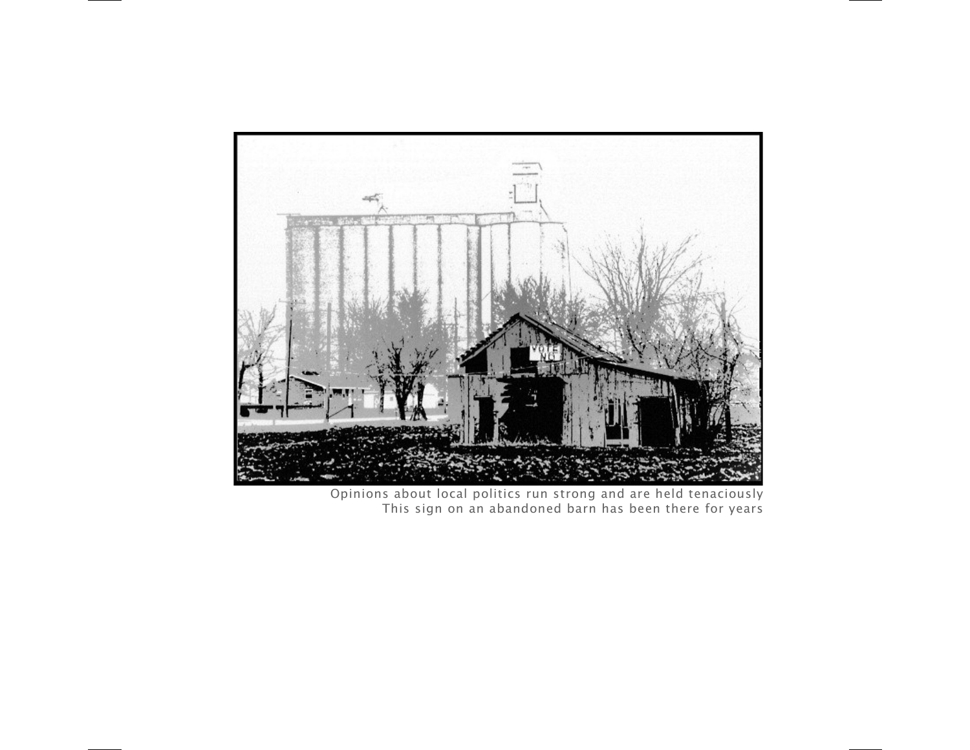

Opinions about local politics run strong and are held tenaciously This sign on an abandoned barn has been there for years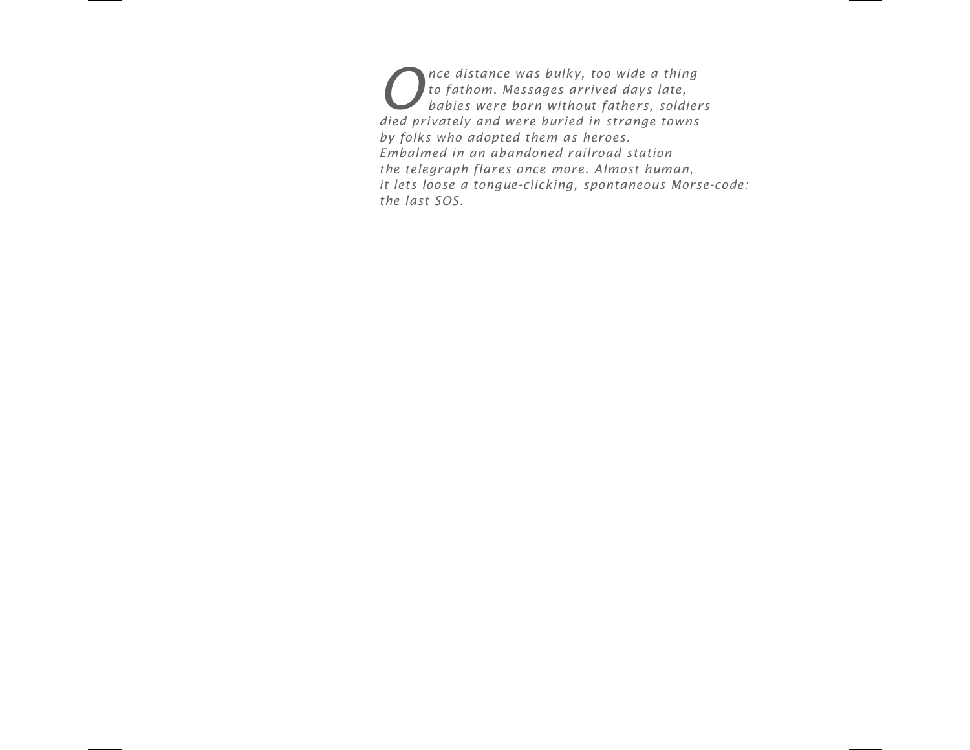*Once distance was bulky, too wide a thing*<br>*Let of athom. Messages arrived days late,*<br>*babies were born without fathers, soldie to fathom. Messages arrived days late, babies were born without fathers, soldiers died privately and were buried in strange towns by folks who adopted them as heroes. Embalmed in an abandoned railroad station the telegraph flares once more. Almost human, it lets loose a tongue-clicking, spontaneous Morse-code: the last SOS.*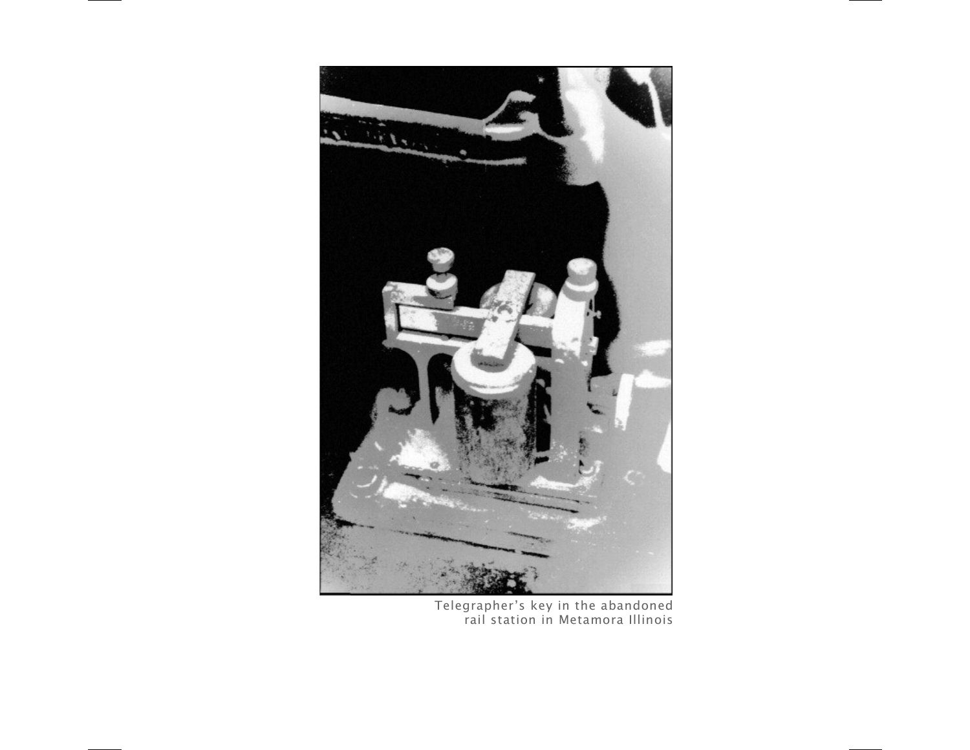

Telegrapher's key in the abandoned rail station in Metamora Illinois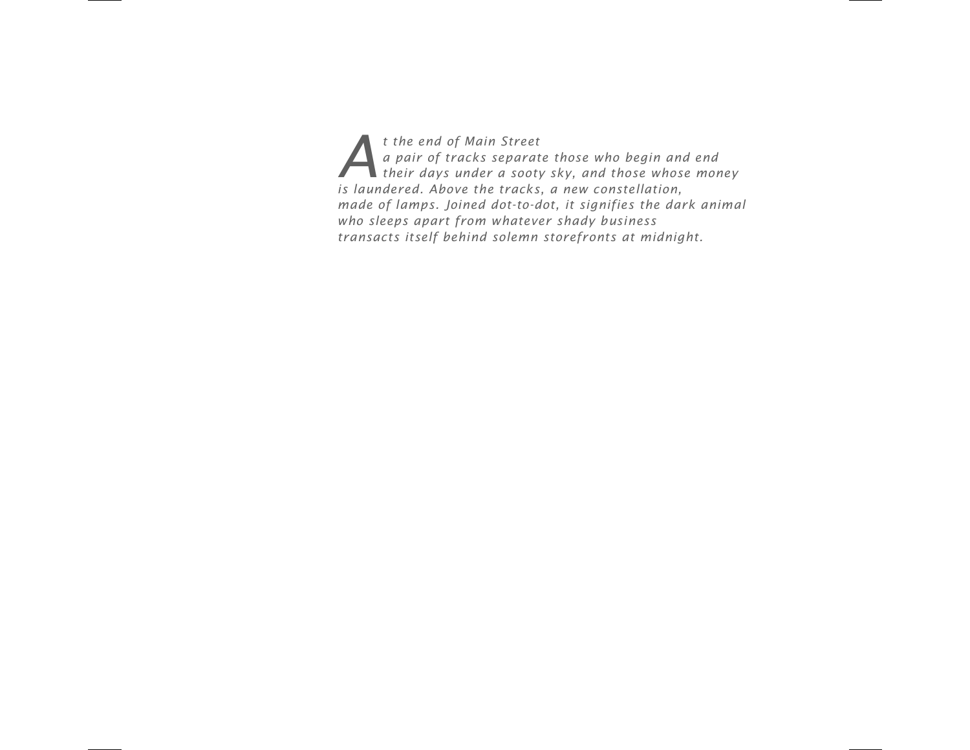*A A At the end of Main Street*<br>*A pair of tracks separately their days under a soot a pair of tracks separate those who begin and end their days under a sooty sky, and those whose money is laundered. Above the tracks, a new constellation, made of lamps. Joined dot-to-dot, it signifies the dark animal who sleeps apart from whatever shady business transacts itself behind solemn storefronts at midnight.*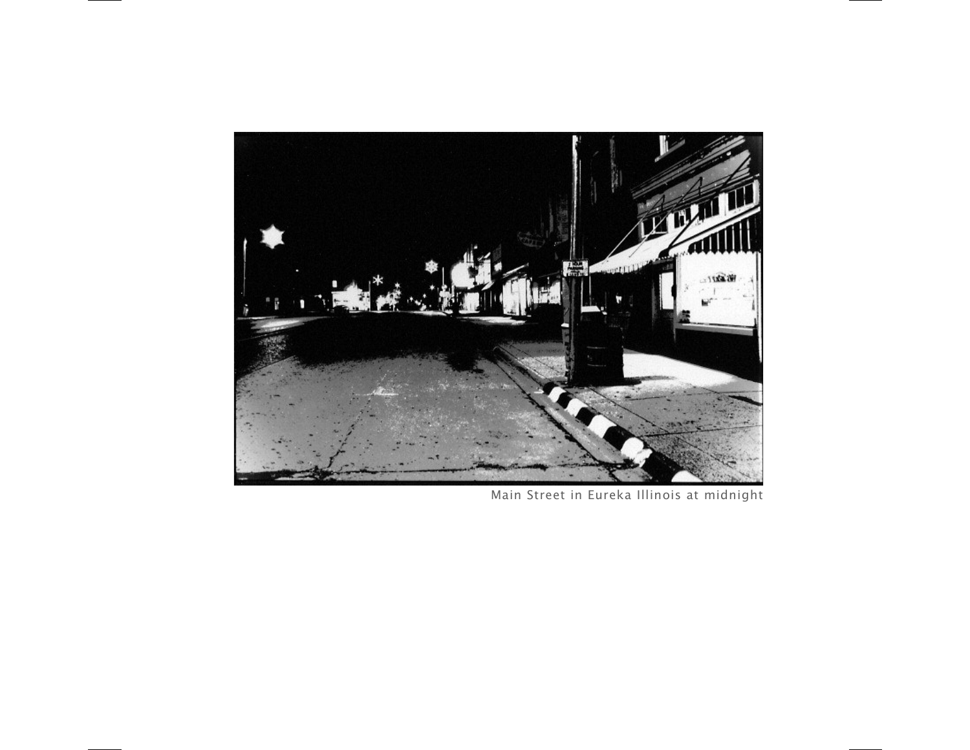

Main Street in Eureka Illinois at midnight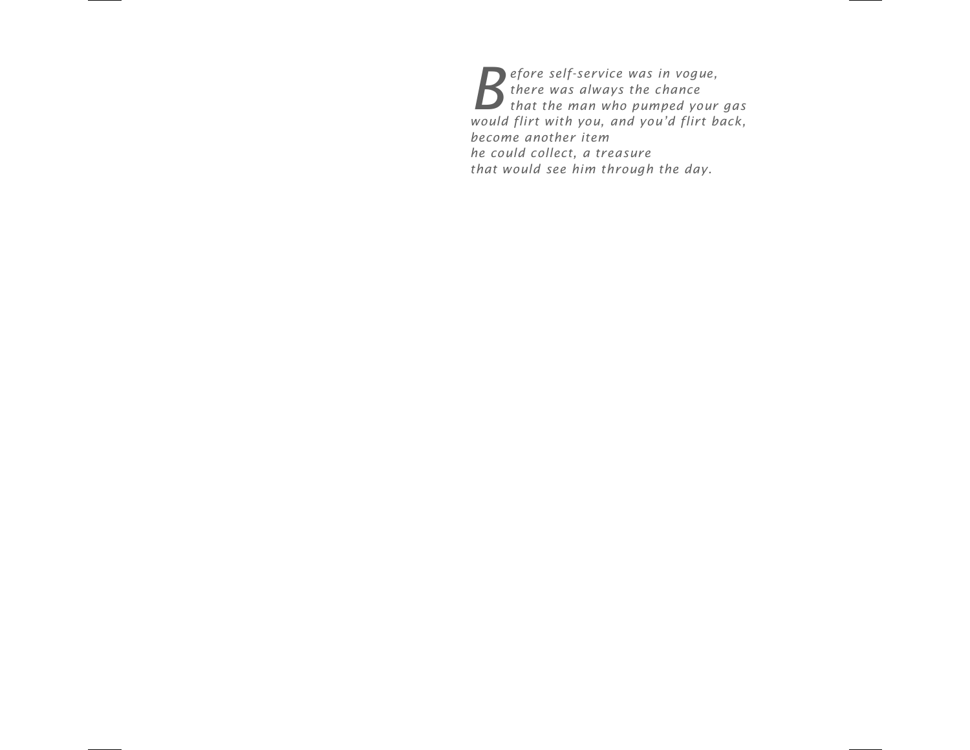**B** efore self-service was in vogue,<br>there was always the chance<br>would flim with you not would flim by *there was always the chance that the man who pumped your gas would flirt with you, and you-d flirt back, become another item he could collect, a treasure that would see him through the day.*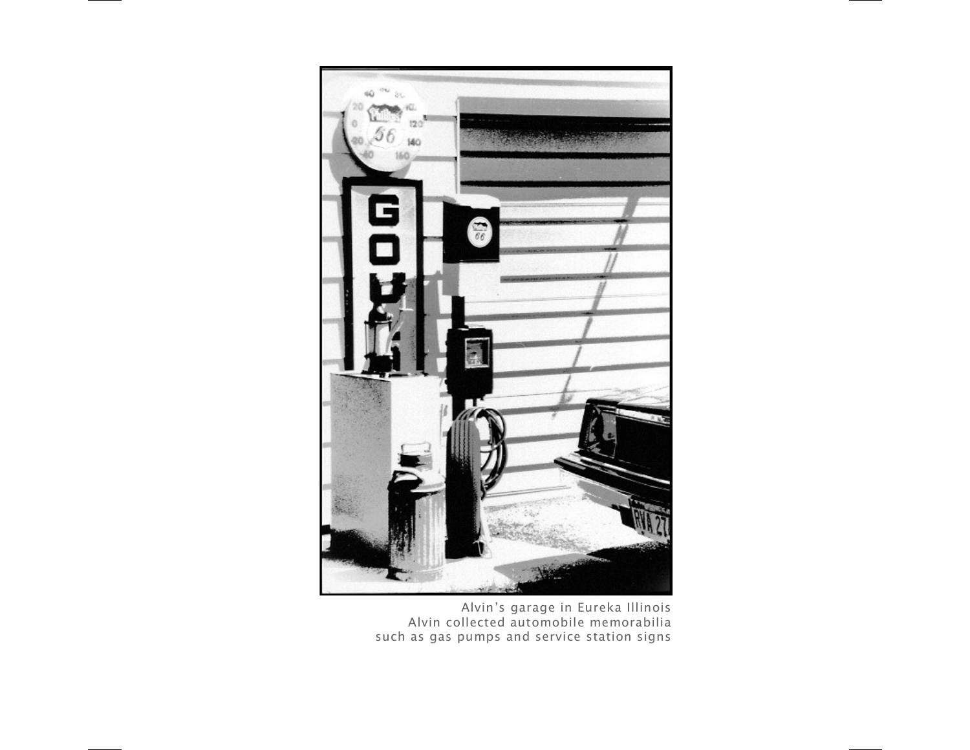

Alvin's garage in Eureka Illinois Alvin collected automobile memorabilia such as gas pumps and service station signs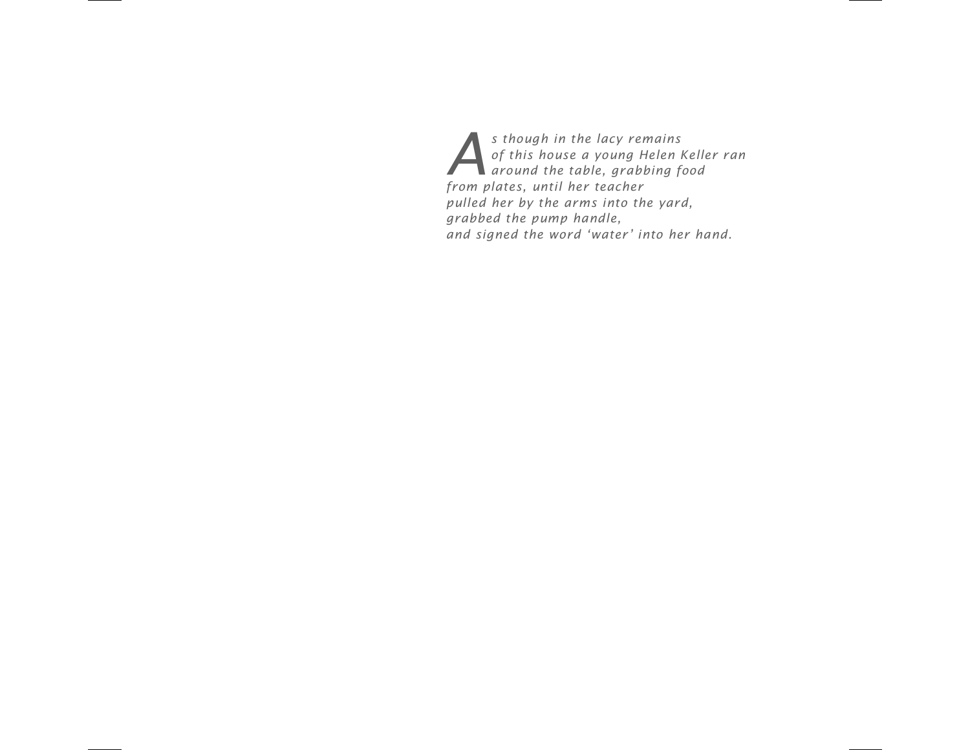*As though in the lacy remains*<br>*of this house a young Helen*<br>*Around the table, grabbing f of this house a young Helen Keller ran around the table, grabbing food from plates, until her teacher pulled her by the arms into the yard, grabbed the pump handle,* and signed the word 'water' into her hand.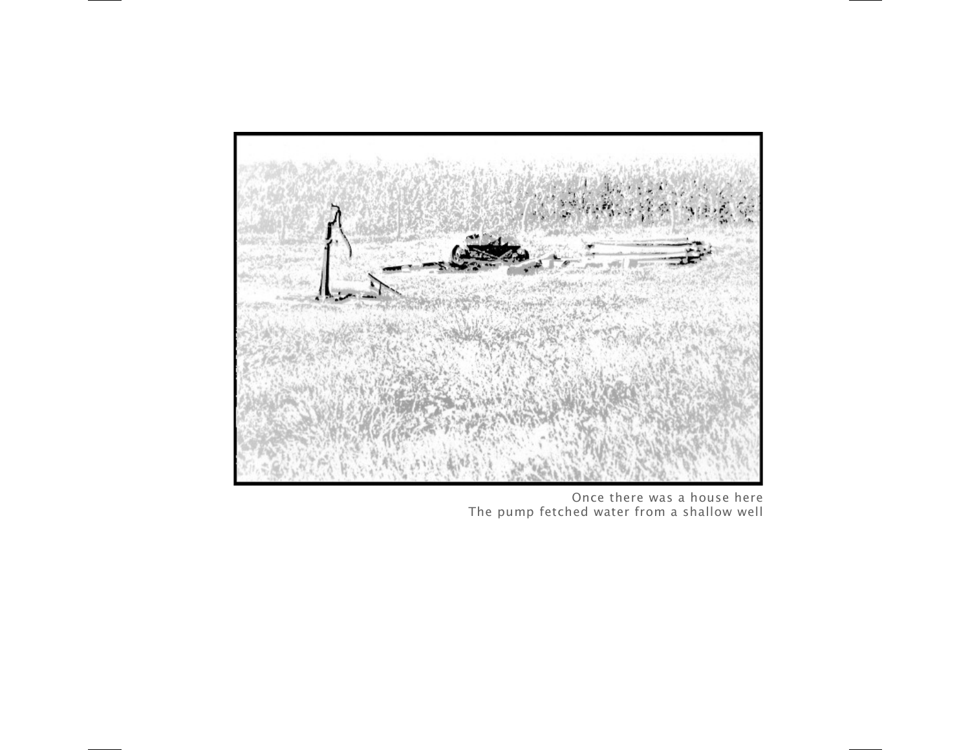

Once there was a house here The pump fetched water from a shallow well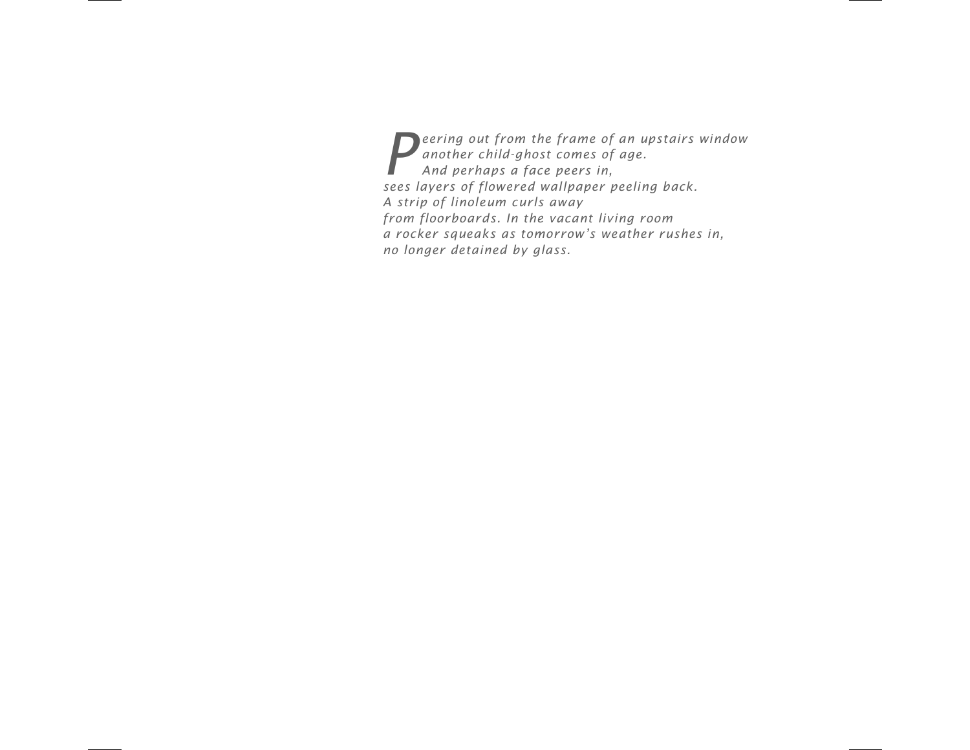*Peering out from the frame of an upstairs window*<br>another child-ghost comes of age.<br>And perhaps a face peers in, *another child-ghost comes of age. And perhaps a face peers in, sees layers of flowered wallpaper peeling back. A strip of linoleum curls away from floorboards. In the vacant living room a rocker squeaks as tomorrow-s weather rushes in, no longer detained by glass.*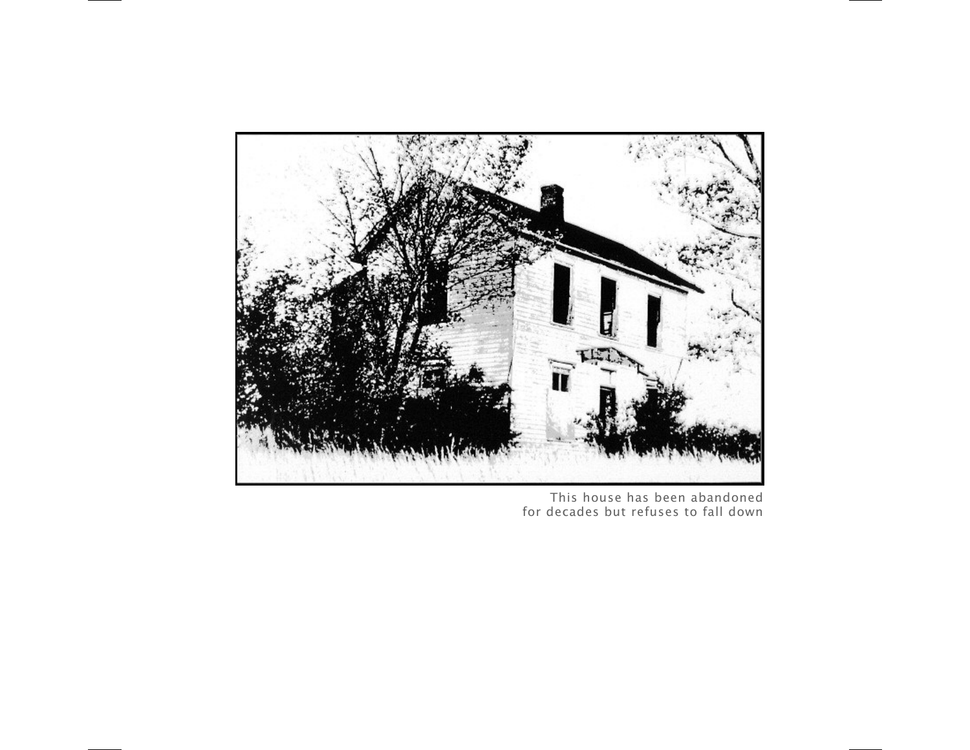

This house has been abandoned for decades but refuses to fall down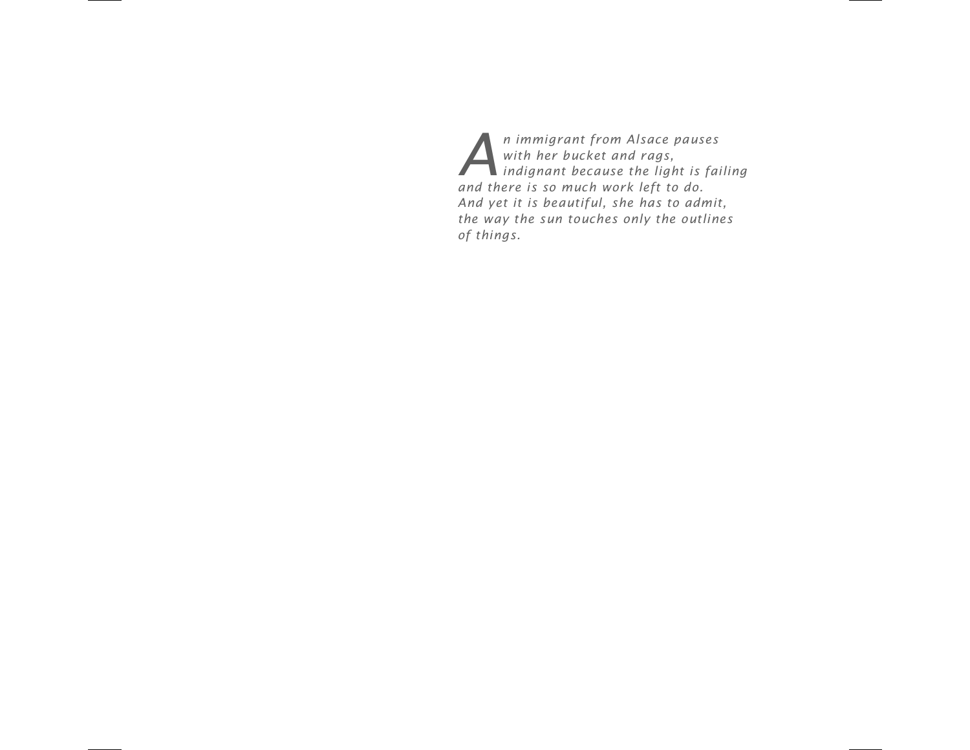*An immigrant from Alsace pauses*<br>with her bucket and rags,<br>indignant because the light is fa *with her bucket and rags, indignant because the light is failing and there is so much work left to do. And yet it is beautiful, she has to admit, the way the sun touches only the outlines of things.*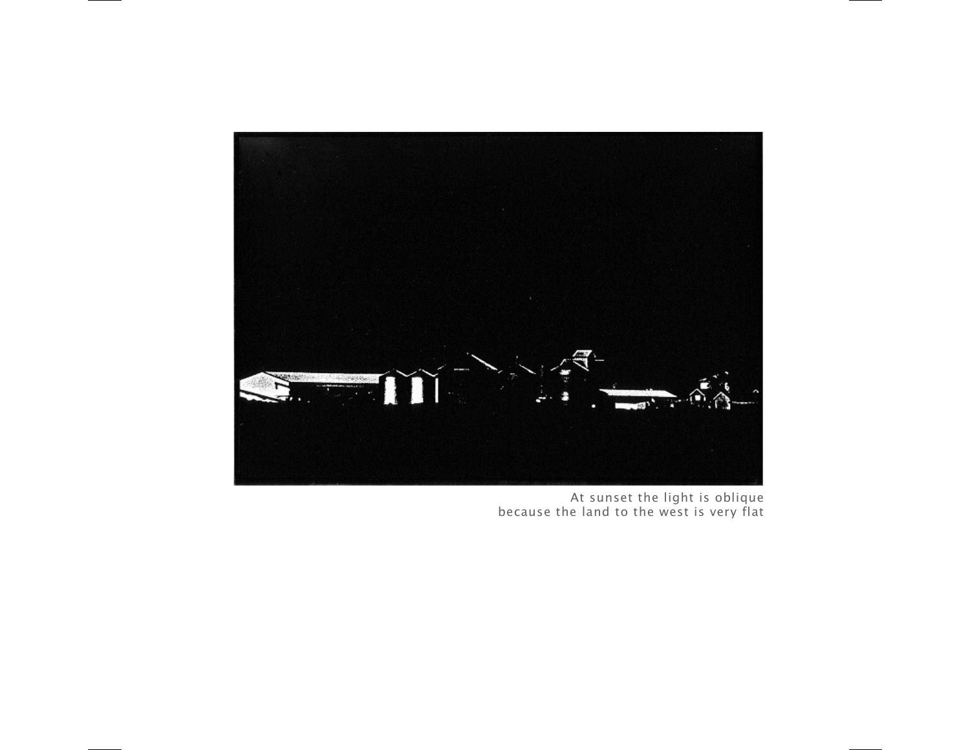

At sunset the light is oblique because the land to the west is very flat